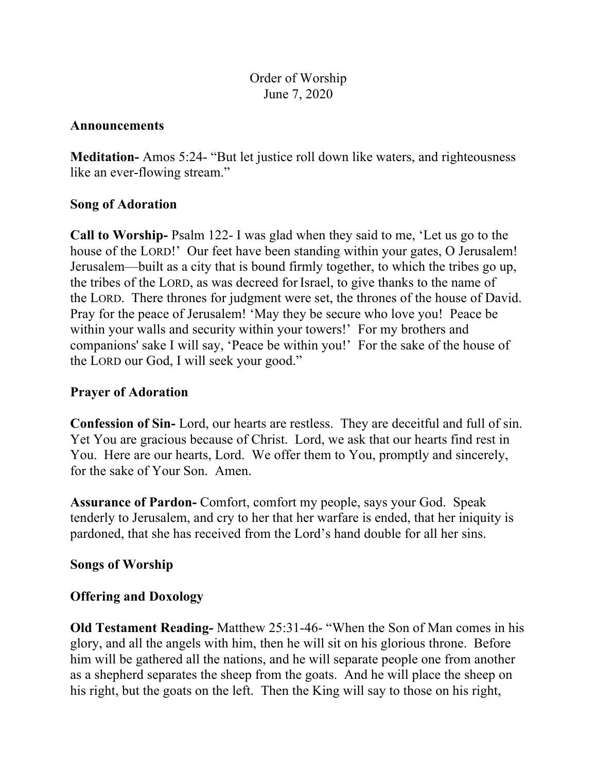# Order of Worship June 7, 2020

### **Announcements**

**Meditation-** Amos 5:24- "But let justice roll down like waters, and righteousness like an ever-flowing stream."

## **Song of Adoration**

**Call to Worship-** Psalm 122- I was glad when they said to me, 'Let us go to the house of the LORD!' Our feet have been standing within your gates, O Jerusalem! Jerusalem—built as a city that is bound firmly together, to which the tribes go up, the tribes of the LORD, as was decreed forIsrael, to give thanks to the name of the LORD. There thrones for judgment were set, the thrones of the house of David. Pray for the peace of Jerusalem! 'May they be secure who love you! Peace be within your walls and security within your towers!' For my brothers and companions' sake I will say, 'Peace be within you!' For the sake of the house of the LORD our God, I will seek your good."

## **Prayer of Adoration**

**Confession of Sin-** Lord, our hearts are restless. They are deceitful and full of sin. Yet You are gracious because of Christ. Lord, we ask that our hearts find rest in You. Here are our hearts, Lord. We offer them to You, promptly and sincerely, for the sake of Your Son. Amen.

**Assurance of Pardon-** Comfort, comfort my people, says your God. Speak tenderly to Jerusalem, and cry to her that her warfare is ended, that her iniquity is pardoned, that she has received from the Lord's hand double for all her sins.

# **Songs of Worship**

## **Offering and Doxology**

**Old Testament Reading-** Matthew 25:31-46- "When the Son of Man comes in his glory, and all the angels with him, then he will sit on his glorious throne. Before him will be gathered all the nations, and he will separate people one from another as a shepherd separates the sheep from the goats. And he will place the sheep on his right, but the goats on the left. Then the King will say to those on his right,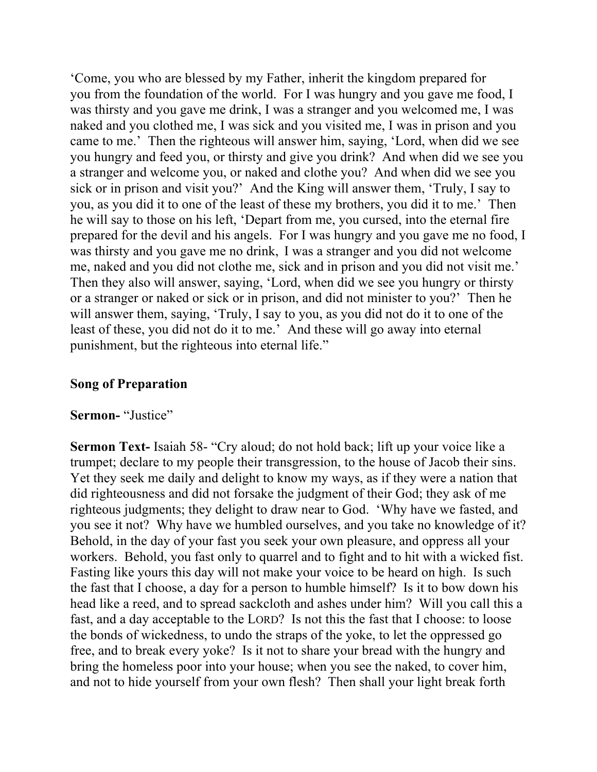'Come, you who are blessed by my Father, inherit the kingdom prepared for you from the foundation of the world. For I was hungry and you gave me food, I was thirsty and you gave me drink, I was a stranger and you welcomed me, I was naked and you clothed me, I was sick and you visited me, I was in prison and you came to me.' Then the righteous will answer him, saying, 'Lord, when did we see you hungry and feed you, or thirsty and give you drink? And when did we see you a stranger and welcome you, or naked and clothe you? And when did we see you sick or in prison and visit you?' And the King will answer them, 'Truly, I say to you, as you did it to one of the least of these my brothers, you did it to me.' Then he will say to those on his left, 'Depart from me, you cursed, into the eternal fire prepared for the devil and his angels. For I was hungry and you gave me no food, I was thirsty and you gave me no drink, I was a stranger and you did not welcome me, naked and you did not clothe me, sick and in prison and you did not visit me.' Then they also will answer, saying, 'Lord, when did we see you hungry or thirsty or a stranger or naked or sick or in prison, and did not minister to you?' Then he will answer them, saying, 'Truly, I say to you, as you did not do it to one of the least of these, you did not do it to me.' And these will go away into eternal punishment, but the righteous into eternal life."

#### **Song of Preparation**

#### **Sermon-** "Justice"

**Sermon Text-** Isaiah 58- "Cry aloud; do not hold back; lift up your voice like a trumpet; declare to my people their transgression, to the house of Jacob their sins. Yet they seek me daily and delight to know my ways, as if they were a nation that did righteousness and did not forsake the judgment of their God; they ask of me righteous judgments; they delight to draw near to God. 'Why have we fasted, and you see it not? Why have we humbled ourselves, and you take no knowledge of it? Behold, in the day of your fast you seek your own pleasure, and oppress all your workers. Behold, you fast only to quarrel and to fight and to hit with a wicked fist. Fasting like yours this day will not make your voice to be heard on high. Is such the fast that I choose, a day for a person to humble himself? Is it to bow down his head like a reed, and to spread sackcloth and ashes under him? Will you call this a fast, and a day acceptable to the LORD? Is not this the fast that I choose: to loose the bonds of wickedness, to undo the straps of the yoke, to let the oppressed go free, and to break every yoke? Is it not to share your bread with the hungry and bring the homeless poor into your house; when you see the naked, to cover him, and not to hide yourself from your own flesh? Then shall your light break forth